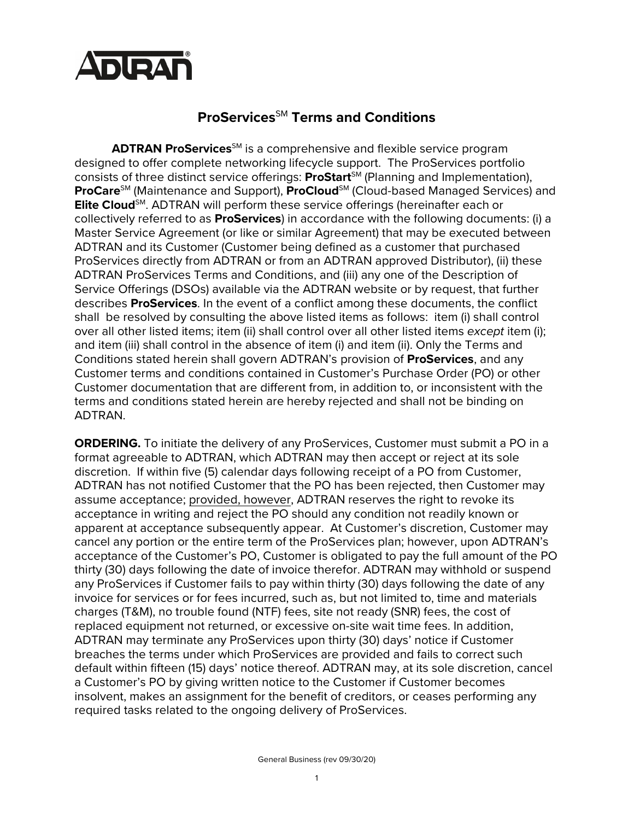

## **ProServices**SM **Terms and Conditions**

**ADTRAN ProServices**<sup>SM</sup> is a comprehensive and flexible service program designed to offer complete networking lifecycle support. The ProServices portfolio consists of three distinct service offerings: **ProStart**<sup>SM</sup> (Planning and Implementation), **ProCare**<sup>SM</sup> (Maintenance and Support), **ProCloud**<sup>SM</sup> (Cloud-based Managed Services) and **Elite Cloud**<sup>SM</sup>. ADTRAN will perform these service offerings (hereinafter each or collectively referred to as **ProServices**) in accordance with the following documents: (i) a Master Service Agreement (or like or similar Agreement) that may be executed between ADTRAN and its Customer (Customer being defined as a customer that purchased ProServices directly from ADTRAN or from an ADTRAN approved Distributor), (ii) these ADTRAN ProServices Terms and Conditions, and (iii) any one of the Description of Service Offerings (DSOs) available via the ADTRAN website or by request, that further describes **ProServices**. In the event of a conflict among these documents, the conflict shall be resolved by consulting the above listed items as follows: item (i) shall control over all other listed items; item (ii) shall control over all other listed items *except* item (i); and item (iii) shall control in the absence of item (i) and item (ii). Only the Terms and Conditions stated herein shall govern ADTRAN's provision of **ProServices**, and any Customer terms and conditions contained in Customer's Purchase Order (PO) or other Customer documentation that are different from, in addition to, or inconsistent with the terms and conditions stated herein are hereby rejected and shall not be binding on ADTRAN.

**ORDERING.** To initiate the delivery of any ProServices, Customer must submit a PO in a format agreeable to ADTRAN, which ADTRAN may then accept or reject at its sole discretion. If within five (5) calendar days following receipt of a PO from Customer, ADTRAN has not notified Customer that the PO has been rejected, then Customer may assume acceptance; provided, however, ADTRAN reserves the right to revoke its acceptance in writing and reject the PO should any condition not readily known or apparent at acceptance subsequently appear. At Customer's discretion, Customer may cancel any portion or the entire term of the ProServices plan; however, upon ADTRAN's acceptance of the Customer's PO, Customer is obligated to pay the full amount of the PO thirty (30) days following the date of invoice therefor. ADTRAN may withhold or suspend any ProServices if Customer fails to pay within thirty (30) days following the date of any invoice for services or for fees incurred, such as, but not limited to, time and materials charges (T&M), no trouble found (NTF) fees, site not ready (SNR) fees, the cost of replaced equipment not returned, or excessive on-site wait time fees. In addition, ADTRAN may terminate any ProServices upon thirty (30) days' notice if Customer breaches the terms under which ProServices are provided and fails to correct such default within fifteen (15) days' notice thereof. ADTRAN may, at its sole discretion, cancel a Customer's PO by giving written notice to the Customer if Customer becomes insolvent, makes an assignment for the benefit of creditors, or ceases performing any required tasks related to the ongoing delivery of ProServices.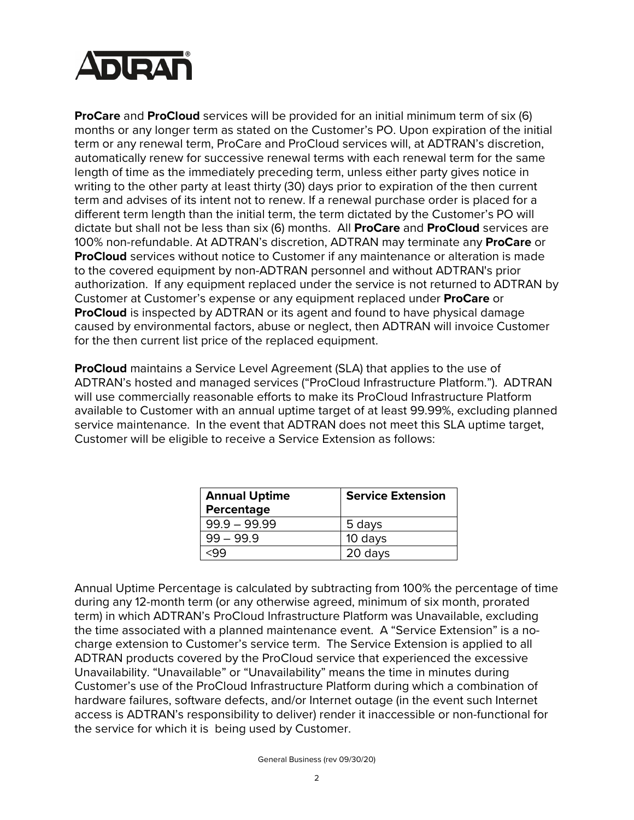

**ProCare** and **ProCloud** services will be provided for an initial minimum term of six (6) months or any longer term as stated on the Customer's PO. Upon expiration of the initial term or any renewal term, ProCare and ProCloud services will, at ADTRAN's discretion, automatically renew for successive renewal terms with each renewal term for the same length of time as the immediately preceding term, unless either party gives notice in writing to the other party at least thirty (30) days prior to expiration of the then current term and advises of its intent not to renew. If a renewal purchase order is placed for a different term length than the initial term, the term dictated by the Customer's PO will dictate but shall not be less than six (6) months. All **ProCare** and **ProCloud** services are 100% non-refundable. At ADTRAN's discretion, ADTRAN may terminate any **ProCare** or **ProCloud** services without notice to Customer if any maintenance or alteration is made to the covered equipment by non-ADTRAN personnel and without ADTRAN's prior authorization. If any equipment replaced under the service is not returned to ADTRAN by Customer at Customer's expense or any equipment replaced under **ProCare** or **ProCloud** is inspected by ADTRAN or its agent and found to have physical damage caused by environmental factors, abuse or neglect, then ADTRAN will invoice Customer for the then current list price of the replaced equipment.

**ProCloud** maintains a Service Level Agreement (SLA) that applies to the use of ADTRAN's hosted and managed services ("ProCloud Infrastructure Platform."). ADTRAN will use commercially reasonable efforts to make its ProCloud Infrastructure Platform available to Customer with an annual uptime target of at least 99.99%, excluding planned service maintenance. In the event that ADTRAN does not meet this SLA uptime target, Customer will be eligible to receive a Service Extension as follows:

| <b>Annual Uptime</b> | <b>Service Extension</b> |
|----------------------|--------------------------|
| Percentage           |                          |
| $99.9 - 99.99$       | 5 days                   |
| $99 - 99.9$          | 10 days                  |
|                      | 20 days                  |

Annual Uptime Percentage is calculated by subtracting from 100% the percentage of time during any 12-month term (or any otherwise agreed, minimum of six month, prorated term) in which ADTRAN's ProCloud Infrastructure Platform was Unavailable, excluding the time associated with a planned maintenance event. A "Service Extension" is a nocharge extension to Customer's service term. The Service Extension is applied to all ADTRAN products covered by the ProCloud service that experienced the excessive Unavailability. "Unavailable" or "Unavailability" means the time in minutes during Customer's use of the ProCloud Infrastructure Platform during which a combination of hardware failures, software defects, and/or Internet outage (in the event such Internet access is ADTRAN's responsibility to deliver) render it inaccessible or non-functional for the service for which it is being used by Customer.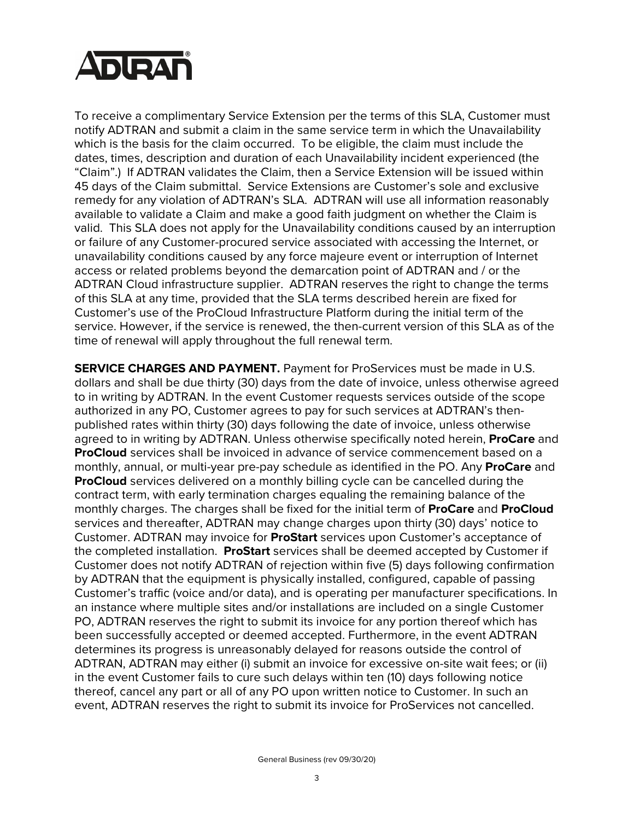

To receive a complimentary Service Extension per the terms of this SLA, Customer must notify ADTRAN and submit a claim in the same service term in which the Unavailability which is the basis for the claim occurred. To be eligible, the claim must include the dates, times, description and duration of each Unavailability incident experienced (the "Claim".) If ADTRAN validates the Claim, then a Service Extension will be issued within 45 days of the Claim submittal. Service Extensions are Customer's sole and exclusive remedy for any violation of ADTRAN's SLA. ADTRAN will use all information reasonably available to validate a Claim and make a good faith judgment on whether the Claim is valid. This SLA does not apply for the Unavailability conditions caused by an interruption or failure of any Customer-procured service associated with accessing the Internet, or unavailability conditions caused by any force majeure event or interruption of Internet access or related problems beyond the demarcation point of ADTRAN and / or the ADTRAN Cloud infrastructure supplier. ADTRAN reserves the right to change the terms of this SLA at any time, provided that the SLA terms described herein are fixed for Customer's use of the ProCloud Infrastructure Platform during the initial term of the service. However, if the service is renewed, the then-current version of this SLA as of the time of renewal will apply throughout the full renewal term.

**SERVICE CHARGES AND PAYMENT.** Payment for ProServices must be made in U.S. dollars and shall be due thirty (30) days from the date of invoice, unless otherwise agreed to in writing by ADTRAN. In the event Customer requests services outside of the scope authorized in any PO, Customer agrees to pay for such services at ADTRAN's thenpublished rates within thirty (30) days following the date of invoice, unless otherwise agreed to in writing by ADTRAN. Unless otherwise specifically noted herein, **ProCare** and **ProCloud** services shall be invoiced in advance of service commencement based on a monthly, annual, or multi-year pre-pay schedule as identified in the PO. Any **ProCare** and **ProCloud** services delivered on a monthly billing cycle can be cancelled during the contract term, with early termination charges equaling the remaining balance of the monthly charges. The charges shall be fixed for the initial term of **ProCare** and **ProCloud** services and thereafter, ADTRAN may change charges upon thirty (30) days' notice to Customer. ADTRAN may invoice for **ProStart** services upon Customer's acceptance of the completed installation. **ProStart** services shall be deemed accepted by Customer if Customer does not notify ADTRAN of rejection within five (5) days following confirmation by ADTRAN that the equipment is physically installed, configured, capable of passing Customer's traffic (voice and/or data), and is operating per manufacturer specifications. In an instance where multiple sites and/or installations are included on a single Customer PO, ADTRAN reserves the right to submit its invoice for any portion thereof which has been successfully accepted or deemed accepted. Furthermore, in the event ADTRAN determines its progress is unreasonably delayed for reasons outside the control of ADTRAN, ADTRAN may either (i) submit an invoice for excessive on-site wait fees; or (ii) in the event Customer fails to cure such delays within ten (10) days following notice thereof, cancel any part or all of any PO upon written notice to Customer. In such an event, ADTRAN reserves the right to submit its invoice for ProServices not cancelled.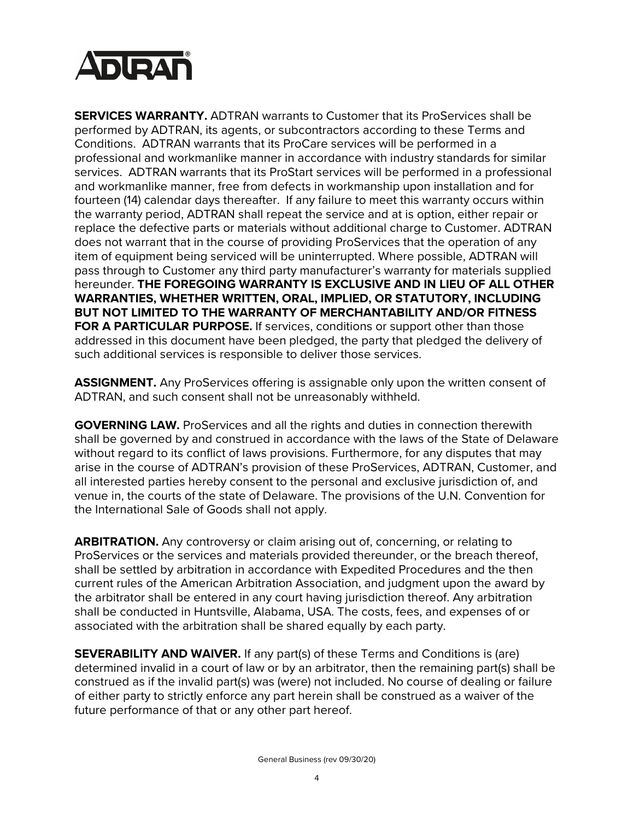

**SERVICES WARRANTY.** ADTRAN warrants to Customer that its ProServices shall be performed by ADTRAN, its agents, or subcontractors according to these Terms and Conditions. ADTRAN warrants that its ProCare services will be performed in a professional and workmanlike manner in accordance with industry standards for similar services. ADTRAN warrants that its ProStart services will be performed in a professional and workmanlike manner, free from defects in workmanship upon installation and for fourteen (14) calendar days thereafter. If any failure to meet this warranty occurs within the warranty period, ADTRAN shall repeat the service and at is option, either repair or replace the defective parts or materials without additional charge to Customer. ADTRAN does not warrant that in the course of providing ProServices that the operation of any item of equipment being serviced will be uninterrupted. Where possible, ADTRAN will pass through to Customer any third party manufacturer's warranty for materials supplied hereunder. **THE FOREGOING WARRANTY IS EXCLUSIVE AND IN LIEU OF ALL OTHER WARRANTIES, WHETHER WRITTEN, ORAL, IMPLIED, OR STATUTORY, INCLUDING BUT NOT LIMITED TO THE WARRANTY OF MERCHANTABILITY AND/OR FITNESS FOR A PARTICULAR PURPOSE.** If services, conditions or support other than those addressed in this document have been pledged, the party that pledged the delivery of such additional services is responsible to deliver those services.

**ASSIGNMENT.** Any ProServices offering is assignable only upon the written consent of ADTRAN, and such consent shall not be unreasonably withheld.

**GOVERNING LAW.** ProServices and all the rights and duties in connection therewith shall be governed by and construed in accordance with the laws of the State of Delaware without regard to its conflict of laws provisions. Furthermore, for any disputes that may arise in the course of ADTRAN's provision of these ProServices, ADTRAN, Customer, and all interested parties hereby consent to the personal and exclusive jurisdiction of, and venue in, the courts of the state of Delaware. The provisions of the U.N. Convention for the International Sale of Goods shall not apply.

**ARBITRATION.** Any controversy or claim arising out of, concerning, or relating to ProServices or the services and materials provided thereunder, or the breach thereof, shall be settled by arbitration in accordance with Expedited Procedures and the then current rules of the American Arbitration Association, and judgment upon the award by the arbitrator shall be entered in any court having jurisdiction thereof. Any arbitration shall be conducted in Huntsville, Alabama, USA. The costs, fees, and expenses of or associated with the arbitration shall be shared equally by each party.

**SEVERABILITY AND WAIVER.** If any part(s) of these Terms and Conditions is (are) determined invalid in a court of law or by an arbitrator, then the remaining part(s) shall be construed as if the invalid part(s) was (were) not included. No course of dealing or failure of either party to strictly enforce any part herein shall be construed as a waiver of the future performance of that or any other part hereof.